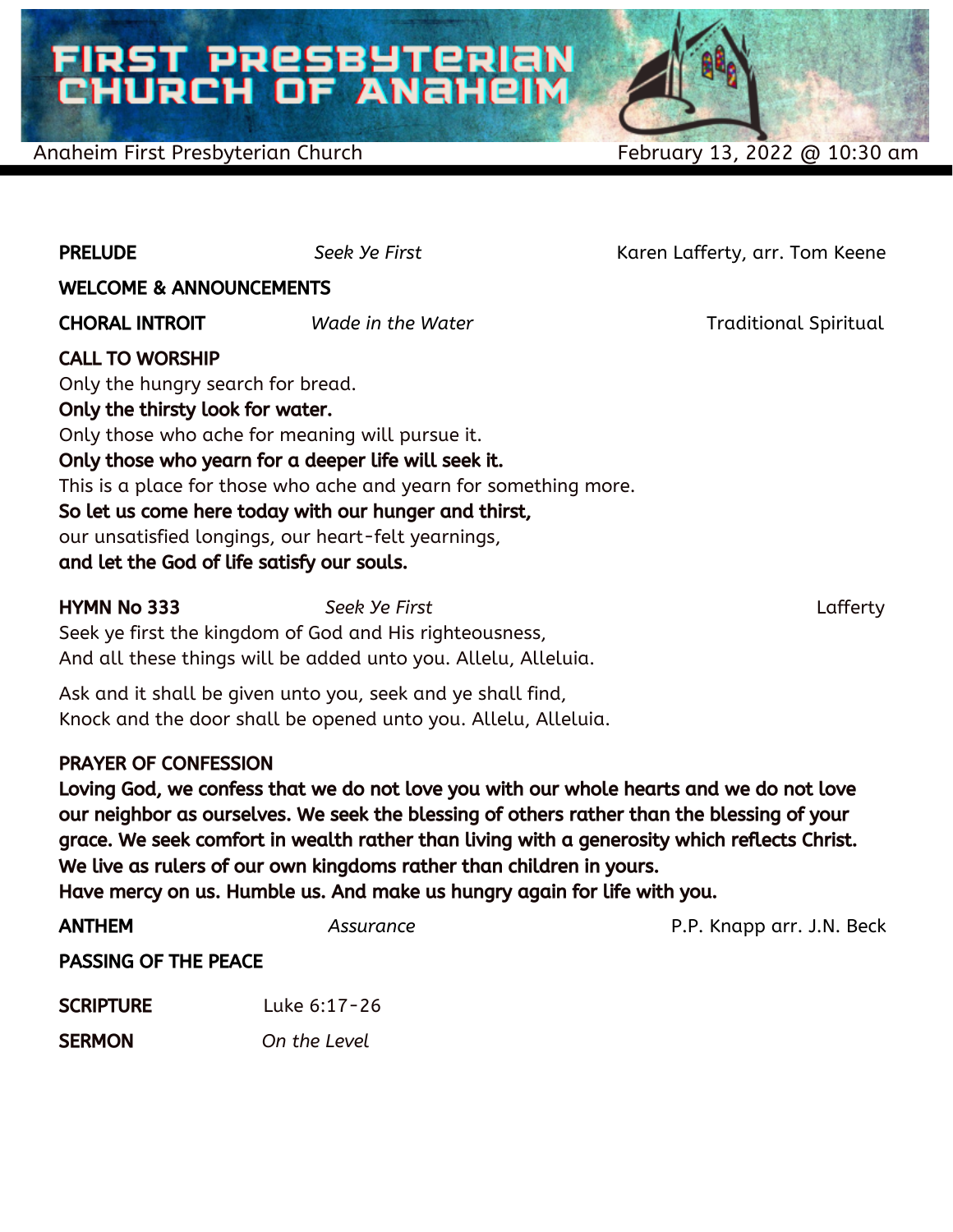# FIRST PRESBYTERIAN<br>CHURCH OF ANAHEIM

#### Anaheim First Presbyterian Church February 13, 2022 @ 10:30 am

| <b>PRELUDE</b>                                                   | Seek Ye First                                                                                                | Karen Lafferty, arr. Tom Keene |  |  |
|------------------------------------------------------------------|--------------------------------------------------------------------------------------------------------------|--------------------------------|--|--|
| <b>WELCOME &amp; ANNOUNCEMENTS</b>                               |                                                                                                              |                                |  |  |
| <b>CHORAL INTROIT</b>                                            | Wade in the Water                                                                                            | <b>Traditional Spiritual</b>   |  |  |
| <b>CALL TO WORSHIP</b>                                           |                                                                                                              |                                |  |  |
| Only the hungry search for bread.                                |                                                                                                              |                                |  |  |
| Only the thirsty look for water.                                 |                                                                                                              |                                |  |  |
| Only those who ache for meaning will pursue it.                  |                                                                                                              |                                |  |  |
| Only those who yearn for a deeper life will seek it.             |                                                                                                              |                                |  |  |
| This is a place for those who ache and yearn for something more. |                                                                                                              |                                |  |  |
| and let the God of life satisfy our souls.                       | So let us come here today with our hunger and thirst,<br>our unsatisfied longings, our heart-felt yearnings, |                                |  |  |

HYMN No 333 *Seek Ye First* Lafferty Seek ye first the kingdom of God and His righteousness, And all these things will be added unto you. Allelu, Alleluia.

Ask and it shall be given unto you, seek and ye shall find, Knock and the door shall be opened unto you. Allelu, Alleluia.

#### PRAYER OF CONFESSION

Loving God, we confess that we do not love you with our whole hearts and we do not love our neighbor as ourselves. We seek the blessing of others rather than the blessing of your grace. We seek comfort in wealth rather than living with a generosity which reflects Christ. We live as rulers of our own kingdoms rather than children in yours. Have mercy on us. Humble us. And make us hungry again for life with you.

| <b>ANTHEM</b>               | Assurance    | P.P. Knapp arr. J.N. Beck |  |
|-----------------------------|--------------|---------------------------|--|
| <b>PASSING OF THE PEACE</b> |              |                           |  |
| <b>SCRIPTURE</b>            | Luke 6:17-26 |                           |  |
| <b>SERMON</b>               | On the Level |                           |  |